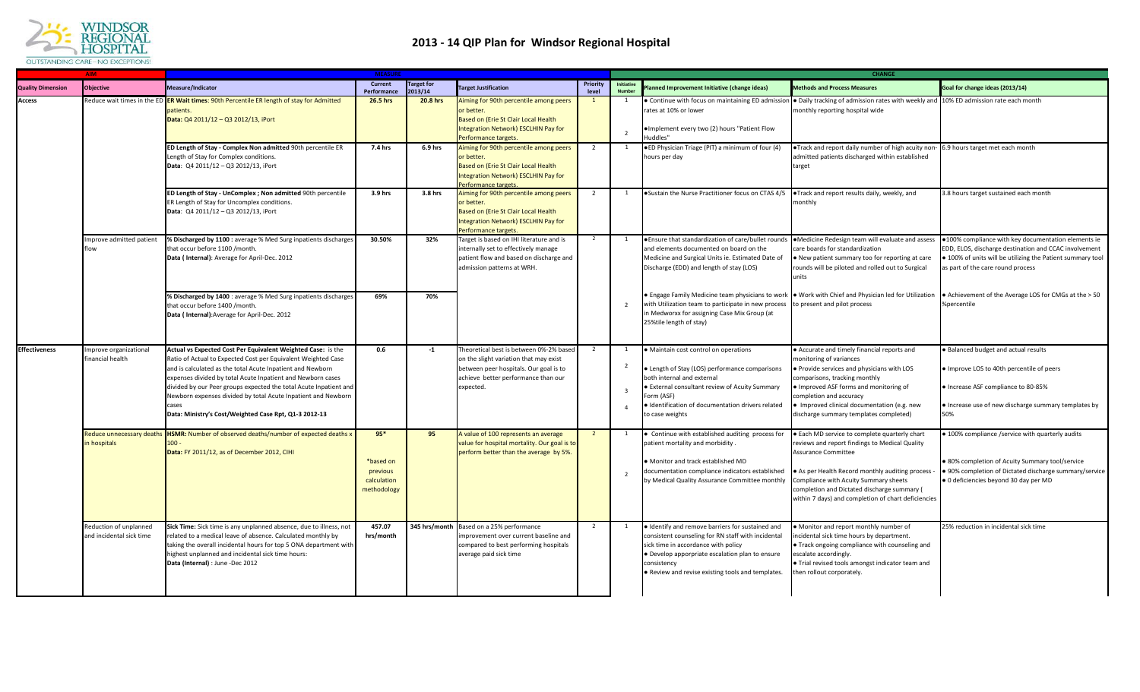

## **2013 - 14 QIP Plan for Windsor Regional Hospital**

|                          | AIM.                                               | <b>MEASURE</b>                                                                                                                                                                                                                                                                                                                                                                                                                                                     |                                                              |                              |                                                                                                                                                                                |                   |                                         | <b>CHANGE</b>                                                                                                                                                                                                                                                         |                                                                                                                                                                                                                                                                                                                   |                                                                                                                                                                                                                 |  |
|--------------------------|----------------------------------------------------|--------------------------------------------------------------------------------------------------------------------------------------------------------------------------------------------------------------------------------------------------------------------------------------------------------------------------------------------------------------------------------------------------------------------------------------------------------------------|--------------------------------------------------------------|------------------------------|--------------------------------------------------------------------------------------------------------------------------------------------------------------------------------|-------------------|-----------------------------------------|-----------------------------------------------------------------------------------------------------------------------------------------------------------------------------------------------------------------------------------------------------------------------|-------------------------------------------------------------------------------------------------------------------------------------------------------------------------------------------------------------------------------------------------------------------------------------------------------------------|-----------------------------------------------------------------------------------------------------------------------------------------------------------------------------------------------------------------|--|
| <b>Quality Dimension</b> | <b>Objective</b>                                   | Measure/Indicator                                                                                                                                                                                                                                                                                                                                                                                                                                                  | <b>Current</b><br>Performance                                | <b>Target for</b><br>2013/14 | <b>Target Justification</b>                                                                                                                                                    | Priority<br>level | Initiative                              | lanned Improvement Initiative (change ideas)                                                                                                                                                                                                                          | <b>Methods and Process Measures</b>                                                                                                                                                                                                                                                                               | Goal for change ideas (2013/14)                                                                                                                                                                                 |  |
| Access                   |                                                    | Reduce wait times in the ED <b>ER Wait times: 90th Percentile ER length of stay for Admitted</b><br>patients.<br>Data: Q4 2011/12 - Q3 2012/13, iPort                                                                                                                                                                                                                                                                                                              | 26.5 hrs                                                     | 20.8 hrs                     | Aiming for 90th percentile among peers<br>or better.<br>Based on (Erie St Clair Local Health<br>ntegration Network) ESCLHIN Pay for<br>Performance targets.                    | $\overline{1}$    | - 1<br>$\overline{2}$                   | rates at 10% or lower<br>·Implement every two (2) hours "Patient Flow<br>Huddles'                                                                                                                                                                                     | • Continue with focus on maintaining ED admission • Daily tracking of admission rates with weekly and 10% ED admission rate each month<br>monthly reporting hospital wide                                                                                                                                         |                                                                                                                                                                                                                 |  |
|                          |                                                    | ED Length of Stay - Complex Non admitted 90th percentile ER<br>ength of Stay for Complex conditions.<br>Data: Q4 2011/12 - Q3 2012/13, iPort                                                                                                                                                                                                                                                                                                                       | 7.4 hrs                                                      | 6.9 hrs                      | Aiming for 90th percentile among peers<br>or better.<br>Based on (Erie St Clair Local Health<br>ntegration Network) ESCLHIN Pay for<br><b>Performance targets</b>              | $\overline{2}$    | $\overline{1}$                          | . ED Physician Triage (PIT) a minimum of four (4)<br>hours per day                                                                                                                                                                                                    | . Track and report daily number of high acuity non-<br>admitted patients discharged within established<br>target                                                                                                                                                                                                  | 6.9 hours target met each month                                                                                                                                                                                 |  |
|                          |                                                    | ED Length of Stay - UnComplex ; Non admitted 90th percentile<br>ER Length of Stay for Uncomplex conditions.<br>Data: Q4 2011/12 - Q3 2012/13, iPort                                                                                                                                                                                                                                                                                                                | 3.9 hrs                                                      | 3.8 hrs                      | Aiming for 90th percentile among peers<br>or better.<br>Based on (Erie St Clair Local Health<br>ntegration Network) ESCLHIN Pay for<br>Performance targets                     | $\overline{2}$    |                                         | • Sustain the Nurse Practitioner focus on CTAS 4/5 • Track and report results daily, weekly, and                                                                                                                                                                      | monthly                                                                                                                                                                                                                                                                                                           | 3.8 hours target sustained each month                                                                                                                                                                           |  |
|                          | mprove admitted patient<br>flow                    | <b>6 Discharged by 1100 :</b> average % Med Surg inpatients discharges<br>that occur before 1100 /month.<br>Data (Internal): Average for April-Dec. 2012                                                                                                                                                                                                                                                                                                           | 30.50%                                                       | 32%                          | Target is based on IHI literature and is<br>internally set to effectively manage<br>patient flow and based on discharge and<br>admission patterns at WRH.                      | $\overline{2}$    | 1                                       | • Ensure that standardization of care/bullet rounds • Medicine Redesign team will evaluate and assess<br>and elements documented on board on the<br>Medicine and Surgical Units ie. Estimated Date of<br>Discharge (EDD) and length of stay (LOS)                     | care boards for standardization<br>. New patient summary too for reporting at care<br>rounds will be piloted and rolled out to Surgical<br>units                                                                                                                                                                  | .100% compliance with key documentation elements ie<br>EDD, ELOS, discharge destination and CCAC involvement<br>. 100% of units will be utilizing the Patient summary tool<br>as part of the care round process |  |
|                          |                                                    | % Discharged by 1400 : average % Med Surg inpatients discharges<br>that occur before 1400 /month.<br>Data (Internal): Average for April-Dec. 2012                                                                                                                                                                                                                                                                                                                  | 69%                                                          | 70%                          |                                                                                                                                                                                |                   | $\overline{2}$                          | • Engage Family Medicine team physicians to work • Work with Chief and Physician led for Utilization<br>with Utilization team to participate in new process to present and pilot process<br>in Medworxx for assigning Case Mix Group (at<br>25%tile length of stay)   |                                                                                                                                                                                                                                                                                                                   | • Achievement of the Average LOS for CMGs at the > 50<br>%percentile                                                                                                                                            |  |
| <b>Effectiveness</b>     | mprove organizational<br>financial health          | Actual vs Expected Cost Per Equivalent Weighted Case: is the<br>Ratio of Actual to Expected Cost per Equivalent Weighted Case<br>and is calculated as the total Acute Inpatient and Newborn<br>expenses divided by total Acute Inpatient and Newborn cases<br>divided by our Peer groups expected the total Acute Inpatient and<br>Newborn expenses divided by total Acute Inpatient and Newborn<br>cases<br>Data: Ministry's Cost/Weighted Case Rpt, Q1-3 2012-13 | 0.6                                                          | $-1$                         | Theoretical best is between 0%-2% base<br>on the slight variation that may exist<br>between peer hospitals. Our goal is to<br>achieve better performance than our<br>expected. | $\overline{2}$    | - 1<br>$\overline{2}$<br>$\overline{3}$ | · Maintain cost control on operations<br>• Length of Stay (LOS) performance comparisons<br>both internal and external<br>• External consultant review of Acuity Summary<br>Form (ASF)<br>· Identification of documentation drivers related<br>to case weights         | • Accurate and timely financial reports and<br>monitoring of variances<br>. Provide services and physicians with LOS<br>comparisons, tracking monthly<br>. Improved ASF forms and monitoring of<br>completion and accuracy<br>Improved clinical documentation (e.g. new<br>discharge summary templates completed) | · Balanced budget and actual results<br>. Improve LOS to 40th percentile of peers<br>· Increase ASF compliance to 80-85%<br>Increase use of new discharge summary templates by<br>50%                           |  |
|                          | Reduce unnecessary deaths<br>n hospitals           | HSMR: Number of observed deaths/number of expected deaths x<br>Data: FY 2011/12, as of December 2012, CIHI                                                                                                                                                                                                                                                                                                                                                         | $95*$<br>*based on<br>previous<br>calculation<br>methodology | 95                           | A value of 100 represents an average<br>value for hospital mortality. Our goal is to<br>perform better than the average by 5%.                                                 |                   | -1<br>$\overline{2}$                    | • Continue with established auditing process for<br>patient mortality and morbidity.<br>. Monitor and track established MD<br>documentation compliance indicators established<br>by Medical Quality Assurance Committee monthly Compliance with Acuity Summary sheets | • Each MD service to complete quarterly chart<br>reviews and report findings to Medical Quality<br>Assurance Committee<br>. As per Health Record monthly auditing process -<br>completion and Dictated discharge summary (<br>within 7 days) and completion of chart deficiencies                                 | 100% compliance /service with quarterly audits<br>. 80% completion of Acuity Summary tool/service<br>· 90% completion of Dictated discharge summary/service<br>· 0 deficiencies beyond 30 day per MD            |  |
|                          | Reduction of unplanned<br>and incidental sick time | Sick Time: Sick time is any unplanned absence, due to illness, not<br>elated to a medical leave of absence. Calculated monthly by<br>taking the overall incidental hours for top 5 ONA department with<br>highest unplanned and incidental sick time hours:<br>Data (Internal) : June -Dec 2012                                                                                                                                                                    | 457.07<br>hrs/month                                          |                              | 345 hrs/month Based on a 25% performance<br>mprovement over current baseline and<br>compared to best performing hospitals<br>average paid sick time                            | $\overline{2}$    |                                         | . Identify and remove barriers for sustained and<br>consistent counseling for RN staff with incidental<br>sick time in accordance with policy<br>· Develop apporpriate escalation plan to ensure<br>consistency<br>. Review and revise existing tools and templates.  | . Monitor and report monthly number of<br>incidental sick time hours by department.<br>• Track ongoing compliance with counseling and<br>escalate accordingly.<br>. Trial revised tools amongst indicator team and<br>then rollout corporately.                                                                   | 25% reduction in incidental sick time                                                                                                                                                                           |  |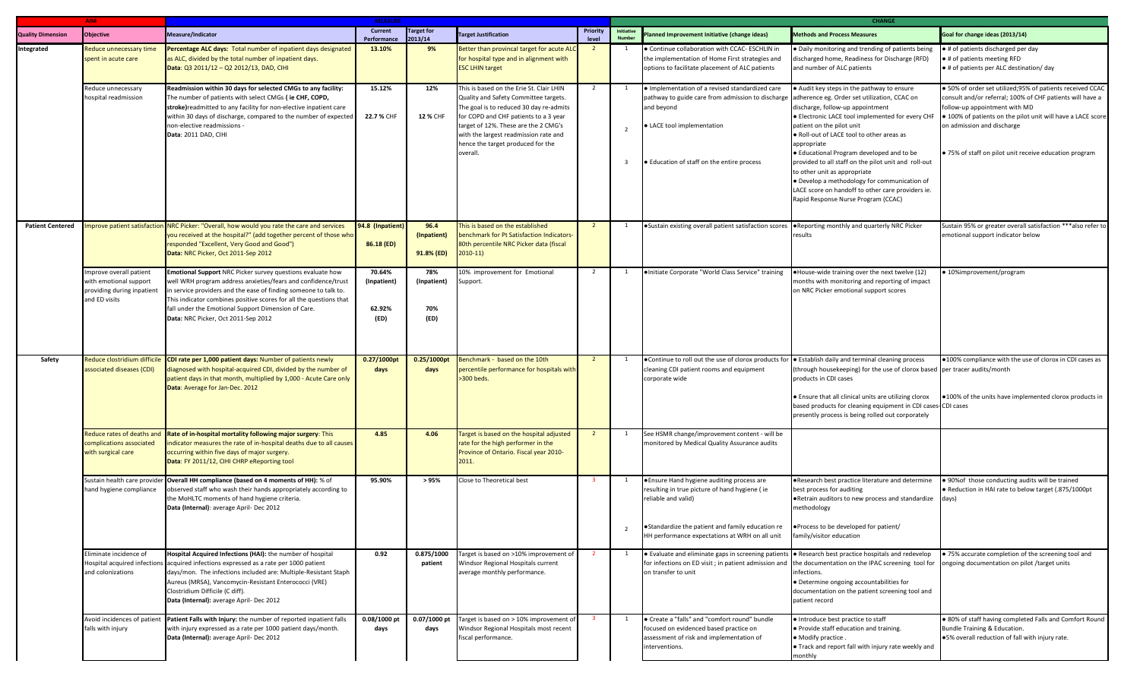|                          | AIM                                                                                             | <b>MEASURE</b>                                                                                                                                                                                                                                                                                                                                                      |                                         |                                   |                                                                                                                                                                                                                                                                                                         |                | <b>CHANGE</b>                             |                                                                                                                                                                                                                                             |                                                                                                                                                                                                                                                                                                                                                                                                                                                                                                            |                                                                                                                                                                                                                                                                                                                |
|--------------------------|-------------------------------------------------------------------------------------------------|---------------------------------------------------------------------------------------------------------------------------------------------------------------------------------------------------------------------------------------------------------------------------------------------------------------------------------------------------------------------|-----------------------------------------|-----------------------------------|---------------------------------------------------------------------------------------------------------------------------------------------------------------------------------------------------------------------------------------------------------------------------------------------------------|----------------|-------------------------------------------|---------------------------------------------------------------------------------------------------------------------------------------------------------------------------------------------------------------------------------------------|------------------------------------------------------------------------------------------------------------------------------------------------------------------------------------------------------------------------------------------------------------------------------------------------------------------------------------------------------------------------------------------------------------------------------------------------------------------------------------------------------------|----------------------------------------------------------------------------------------------------------------------------------------------------------------------------------------------------------------------------------------------------------------------------------------------------------------|
| <b>Quality Dimension</b> | <b>Objective</b>                                                                                | Measure/Indicator                                                                                                                                                                                                                                                                                                                                                   | Current<br>Performance                  | <b>Target for</b><br>2013/14      | <b>Target Justification</b>                                                                                                                                                                                                                                                                             | Priority       | Initiative<br><b>Numbe</b>                | lanned Improvement Initiative (change ideas)                                                                                                                                                                                                | <b>Methods and Process Measures</b>                                                                                                                                                                                                                                                                                                                                                                                                                                                                        | Goal for change ideas (2013/14)                                                                                                                                                                                                                                                                                |
| Integrated               | Reduce unnecessary time<br>spent in acute care                                                  | Percentage ALC days: Total number of inpatient days designated<br>as ALC, divided by the total number of inpatient days.<br>Data: Q3 2011/12 - Q2 2012/13, DAD, CIHI                                                                                                                                                                                                | 13.10%                                  | 9%                                | Better than provincal target for acute ALC<br>for hospital type and in alignment with<br><b>ESC LHIN target</b>                                                                                                                                                                                         | $\overline{2}$ | -1                                        | · Continue collaboration with CCAC- ESCHLIN in<br>the implementation of Home First strategies and<br>options to facilitate placement of ALC patients                                                                                        | . Daily monitoring and trending of patients being<br>discharged home, Readiness for Discharge (RFD)<br>and number of ALC patients                                                                                                                                                                                                                                                                                                                                                                          | . # of patients discharged per day<br>● # of patients meeting RFD<br>• # of patients per ALC destination/ day                                                                                                                                                                                                  |
|                          | Reduce unnecessary<br>hospital readmission                                                      | Readmission within 30 days for selected CMGs to any facility:<br>The number of patients with select CMGs (ie CHF, COPD,<br>stroke) readmitted to any facility for non-elective inpatient care<br>within 30 days of discharge, compared to the number of expected<br>non-elective readmissions -<br>Data: 2011 DAD, CIHI                                             | 15.12%<br>22.7 % CHF                    | 12%<br>12 % CHF                   | This is based on the Erie St. Clair LHIN<br>Quality and Safety Committee targets.<br>The goal is to reduced 30 day re-admits<br>for COPD and CHF patients to a 3 year<br>target of 12%. These are the 2 CMG's<br>with the largest readmission rate and<br>hence the target produced for the<br>overall. | $\overline{2}$ | $\overline{2}$<br>$\overline{\mathbf{3}}$ | . Implementation of a revised standardized care<br>pathway to guide care from admission to discharge adherence eg. Order set utilization, CCAC on<br>and beyond<br>• LACE tool implementation<br>• Education of staff on the entire process | Audit key steps in the pathway to ensure<br>discharge, follow-up appointment<br>• Electronic LACE tool implemented for every CHF<br>patient on the pilot unit<br>. Roll-out of LACE tool to other areas as<br>appropriate<br>· Educational Program developed and to be<br>provided to all staff on the pilot unit and roll-out<br>to other unit as appropriate<br>. Develop a methodology for communication of<br>LACE score on handoff to other care providers ie.<br>Rapid Response Nurse Program (CCAC) | · 50% of order set utilized;95% of patients received CCAC<br>consult and/or referral; 100% of CHF patients will have a<br>follow-up appointment with MD<br>. 100% of patients on the pilot unit will have a LACE score<br>on admission and discharge<br>• 75% of staff on pilot unit receive education program |
| <b>Patient Centered</b>  |                                                                                                 | nprove patient satisfaction NRC Picker: "Overall, how would you rate the care and services<br>you received at the hospital?" (add together percent of those who<br>responded "Excellent, Very Good and Good")<br>Data: NRC Picker, Oct 2011-Sep 2012                                                                                                                | 94.8 (Inpatient<br>86.18 (ED)           | 96.4<br>(Inpatient)<br>91.8% (ED) | This is based on the established<br>benchmark for Pt Satisfaction Indicators<br>80th percentile NRC Picker data (fiscal<br>$2010-11$                                                                                                                                                                    | $\overline{2}$ |                                           | . Sustain existing overall patient satisfaction scores   Reporting monthly and quarterly NRC Picker                                                                                                                                         | results                                                                                                                                                                                                                                                                                                                                                                                                                                                                                                    | Sustain 95% or greater overall satisfaction ***also refer to<br>emotional support indicator below                                                                                                                                                                                                              |
|                          | mprove overall patient<br>with emotional support<br>providing during inpatient<br>and ED visits | Emotional Support NRC Picker survey questions evaluate how<br>well WRH program address anxieties/fears and confidence/trust<br>in service providers and the ease of finding someone to talk to.<br>This indicator combines positive scores for all the questions that<br>fall under the Emotional Support Dimension of Care.<br>Data: NRC Picker, Oct 2011-Sep 2012 | 70.64%<br>(Inpatient)<br>62.92%<br>(ED) | 78%<br>(Inpatient)<br>70%<br>(ED) | 10% improvement for Emotional<br>Support.                                                                                                                                                                                                                                                               | $\overline{2}$ |                                           | · Initiate Corporate "World Class Service" training                                                                                                                                                                                         | . House-wide training over the next twelve (12)<br>months with monitoring and reporting of impact<br>on NRC Picker emotional support scores                                                                                                                                                                                                                                                                                                                                                                | • 10%improvement/program                                                                                                                                                                                                                                                                                       |
| Safety                   | Reduce clostridium difficile<br>associated diseases (CDI)                                       | CDI rate per 1,000 patient days: Number of patients newly<br>liagnosed with hospital-acquired CDI, divided by the number of<br>patient days in that month, multiplied by 1,000 - Acute Care only<br>Data: Average for Jan-Dec. 2012                                                                                                                                 | 0.27/1000pt<br>days                     | 0.25/1000pt<br>days               | Benchmark - based on the 10th<br>percentile performance for hospitals with<br>>300 beds.                                                                                                                                                                                                                | $\overline{2}$ |                                           | • Continue to roll out the use of clorox products for • Establish daily and terminal cleaning process<br>cleaning CDI patient rooms and equipment<br>corporate wide                                                                         | (through housekeeping) for the use of clorox based per tracer audits/month<br>products in CDI cases<br>• Ensure that all clinical units are utilizing clorox<br>based products for cleaning equipment in CDI cases-CDI cases<br>presently process is being rolled out corporately                                                                                                                                                                                                                          | .100% compliance with the use of clorox in CDI cases as<br>.100% of the units have implemented clorox products in                                                                                                                                                                                              |
|                          | Reduce rates of deaths and<br>complications associated<br>with surgical care                    | Rate of in-hospital mortality following major surgery: This<br>ndicator measures the rate of in-hospital deaths due to all causes<br>occurring within five days of major surgery.<br>Data: FY 2011/12, CIHI CHRP eReporting tool                                                                                                                                    | 4.85                                    | 4.06                              | Target is based on the hospital adjusted<br>rate for the high performer in the<br>Province of Ontario. Fiscal year 2010-<br>2011.                                                                                                                                                                       | $\overline{2}$ | <sup>1</sup>                              | See HSMR change/improvement content - will be<br>monitored by Medical Quality Assurance audits                                                                                                                                              |                                                                                                                                                                                                                                                                                                                                                                                                                                                                                                            |                                                                                                                                                                                                                                                                                                                |
|                          | hand hygiene compliance                                                                         | Sustain health care provider Overall HH compliance (based on 4 moments of HH): % of<br>observed staff who wash their hands appropriately according to<br>the MoHLTC moments of hand hygiene criteria.<br>Data (Internal): average April- Dec 2012                                                                                                                   | 95.90%                                  | > 95%                             | Close to Theoretical best                                                                                                                                                                                                                                                                               |                |                                           | . Ensure Hand hygiene auditing process are<br>resulting in true picture of hand hygiene (ie<br>reliable and valid)<br>• Standardize the patient and family education re<br>HH performance expectations at WRH on all unit                   | . Research best practice literature and determine<br>best process for auditing<br>. Retrain auditors to new process and standardize<br>methodology<br>. Process to be developed for patient/<br>family/visitor education                                                                                                                                                                                                                                                                                   | . 90% of those conducting audits will be trained<br>. Reduction in HAI rate to below target (.875/1000pt<br>days)                                                                                                                                                                                              |
|                          | Eliminate incidence of<br>and colonizations                                                     | Hospital Acquired Infections (HAI): the number of hospital<br>Hospital acquired infections acquired infections expressed as a rate per 1000 patient<br>days/mon. The infections included are: Multiple-Resistant Staph<br>Aureus (MRSA), Vancomycin-Resistant Enterococci (VRE)<br>Clostridium Difficile (C diff).<br>Data (Internal): average April- Dec 2012      | 0.92                                    | 0.875/1000<br>patient             | Target is based on >10% improvement of<br>Windsor Regional Hospitals current<br>average monthly performance.                                                                                                                                                                                            | $\overline{2}$ | $\mathbf{1}$                              | • Evaluate and eliminate gaps in screening patients<br>on transfer to unit                                                                                                                                                                  | Research best practice hospitals and redevelop<br>for infections on ED visit; in patient admission and the documentation on the IPAC screening tool for ongoing documentation on pilot /target units<br>infections.<br>• Determine ongoing accountabilities for<br>documentation on the patient screening tool and<br>patient record                                                                                                                                                                       | . 75% accurate completion of the screening tool and                                                                                                                                                                                                                                                            |
|                          | Avoid incidences of patient<br>falls with injury                                                | Patient Falls with Injury: the number of reported inpatient falls<br>with injury expressed as a rate per 1000 patient days/month.<br>Data (Internal): average April- Dec 2012                                                                                                                                                                                       | 0.08/1000 pt<br>days                    | days                              | 0.07/1000 pt Target is based on $>$ 10% improvement of<br>Windsor Regional Hospitals most recent<br>fiscal performance.                                                                                                                                                                                 |                | 1                                         | • Create a "falls" and "comfort round" bundle<br>focused on evidenced based practice on<br>assessment of risk and implementation of<br>interventions.                                                                                       | · Introduce best practice to staff<br>. Provide staff education and training.<br>• Modify practice.<br>. Track and report fall with injury rate weekly and<br>monthly                                                                                                                                                                                                                                                                                                                                      | . 80% of staff having completed Falls and Comfort Round<br>Bundle Training & Education.<br>.5% overall reduction of fall with injury rate.                                                                                                                                                                     |